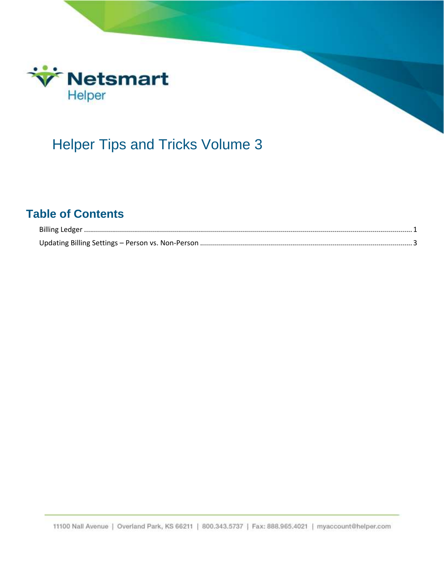

## **Helper Tips and Tricks Volume 3**

## **Table of Contents**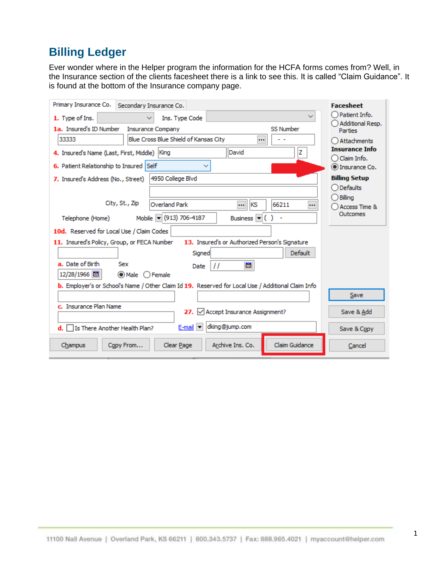## <span id="page-1-0"></span>**Billing Ledger**

Ever wonder where in the Helper program the information for the HCFA forms comes from? Well, in the Insurance section of the clients facesheet there is a link to see this. It is called "Claim Guidance". It is found at the bottom of the Insurance company page.

| Primary Insurance Co.<br>Secondary Insurance Co.                                                          | <b>Facesheet</b>                          |
|-----------------------------------------------------------------------------------------------------------|-------------------------------------------|
| $\checkmark$<br>Ins. Type Code<br>1. Type of Ins.                                                         | Patient Info.<br>Additional Resp.         |
| 1a. Insured's ID Number<br><b>SS Number</b><br><b>Insurance Company</b>                                   | Parties                                   |
| Blue Cross Blue Shield of Kansas City<br>33333<br>                                                        | Attachments                               |
| Z<br>David<br>4. Insured's Name (Last, First, Middle)  King                                               | <b>Insurance Info</b>                     |
| 6. Patient Relationship to Insured Self<br>$\checkmark$                                                   | $\bigcirc$ Claim Info.<br>O Insurance Co. |
| 4950 College Blvd<br>7. Insured's Address (No., Street)                                                   | <b>Billing Setup</b>                      |
|                                                                                                           | ◯ Defaults                                |
|                                                                                                           | Billina                                   |
| City, St., Zip<br>Overland Park<br>66211<br><b>IKS</b><br><br>$\cdots$                                    | Access Time &                             |
| Mobile v (913) 706-4187<br>Business $\blacktriangleright$ ( ) -<br>Telephone (Home)                       | <b>Outcomes</b>                           |
| 10d. Reserved for Local Use / Claim Codes                                                                 |                                           |
| 13. Insured's or Authorized Person's Signature<br>11. Insured's Policy, Group, or FECA Number             |                                           |
| <b>Default</b><br>Signed                                                                                  |                                           |
| a. Date of Birth<br>Sex<br>闗<br>$\prime\prime$<br>Date                                                    |                                           |
| 12/28/1966   田<br>$\bigcirc$ Male $\bigcirc$ Female                                                       |                                           |
| <b>b.</b> Employer's or School's Name / Other Claim Id 19. Reserved for Local Use / Additional Claim Info |                                           |
|                                                                                                           | Save                                      |
| c. Insurance Plan Name<br>27.   Accept Insurance Assignment?                                              | Save & Add                                |
|                                                                                                           |                                           |
| dking@jump.com<br>$E$ -mail $\blacktriangledown$<br>Is There Another Health Plan?<br>d.                   | Save & Copy                               |
| Claim Guidance<br>Archive Ins. Co.<br>Champus<br>Copy From<br>Clear Page                                  | Cancel                                    |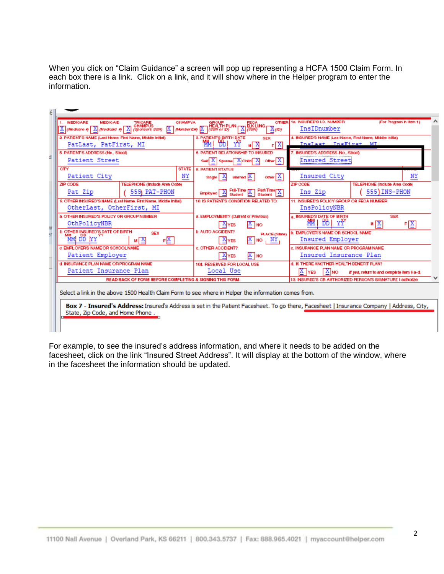When you click on "Claim Guidance" a screen will pop up representing a HCFA 1500 Claim Form. In each box there is a link. Click on a link, and it will show where in the Helper program to enter the information.

| 2. PATIENT'S NAME (Last Name, First Name, Middle Initial)<br>PatLast, PatFirst, MI | 3. PATIENT'S BIRTH DATE<br>SEX<br><b>BB</b><br>ΥŶ<br>иEХ<br>FIX)                                     | 4. INSURED'S NAME (Last Name, First Name, Middle Initial)<br>InsLast InsFirst MI |                                                           |  |  |  |  |
|------------------------------------------------------------------------------------|------------------------------------------------------------------------------------------------------|----------------------------------------------------------------------------------|-----------------------------------------------------------|--|--|--|--|
| 5. PATIENT'S ADDRESS (No., Steel)                                                  | <b>6. PATIENT RELATIONSHIP TO INSURED</b>                                                            | INSURED'S ADDRESS No., Street                                                    |                                                           |  |  |  |  |
| Patient Street                                                                     | $\frac{1}{X}$ spouse $\frac{1}{X}$ child $\frac{1}{X}$<br>other   X                                  | Insured Street                                                                   |                                                           |  |  |  |  |
| <b>CITY</b>                                                                        | <b>STATE</b><br><b>9. PATIENT STATUS</b>                                                             |                                                                                  |                                                           |  |  |  |  |
| Patient City                                                                       | NΥ<br>omer $\boxed{\underline{X}}$<br>Marriad X<br>Single                                            | Insured City                                                                     | ΝY                                                        |  |  |  |  |
| ZIP CODE<br>TELEPHONE (Include Area Code)                                          |                                                                                                      | ZIP CODE                                                                         | TELEPHONE (Include Area Code)                             |  |  |  |  |
| 555 PAT-PHON<br>Pat Zip                                                            | Part Time X<br>$E^{II-Time}$ $X$<br>X<br>Employed  <br>Student<br>Stadent                            | Ins Zip                                                                          | 555) INS-PHON                                             |  |  |  |  |
| 9. OTHER INSURED'S NAME (Last Name, First Name, Middle Initial).                   | 10 IS PATIENT'S CONDITION RELATED TO:                                                                | 11. NSURED'S POLICY GROUP OR FECA NUMBER                                         |                                                           |  |  |  |  |
| OtherLast, OtherFirst, MI                                                          |                                                                                                      | InsPolicyNBR                                                                     |                                                           |  |  |  |  |
| a OTHER INSURED'S POLICY OR GROUP NUMBER.                                          | a. EMPLOYMENT? (Current or Previous)                                                                 | a. INSURED'S DATE OF BIRTH                                                       | <b>SEX</b>                                                |  |  |  |  |
| OthPolicvNBR                                                                       | <u>Х</u> ] мо<br><b>NYES</b>                                                                         | ВВ<br>ΥŸ                                                                         | и∑∏<br>티폴                                                 |  |  |  |  |
| <b>b. OTHER INSURED'S DATE OF BIRTH</b><br><b>SEX</b>                              | <b>b. AUTO ACCIDENT?</b><br>PLACE (State)                                                            | <b>b. EMPLOYER'S NAME OR SCHOOL NAME</b>                                         |                                                           |  |  |  |  |
| DD NY<br>FKT<br>м∏≚                                                                | ×<br>$\mathbb{X}$   NO   $\mathbb{N}\mathbb{Y}$<br><b>YES</b>                                        | Insured Employer                                                                 |                                                           |  |  |  |  |
| <b>C EMPLOYER'S NAME OR SCHOOL NAME</b>                                            | c. OTHER ACCIDENT?                                                                                   | c. INSURANCE PLAN NAME OR PROGRAM NAME                                           |                                                           |  |  |  |  |
| Patient Employer                                                                   | <b>X</b> NO<br>XYES                                                                                  | Insured Insurance Plan                                                           |                                                           |  |  |  |  |
| d. INSURANCE PLAN NAME OR PROGRAM NAME                                             | 101, RESERVED FOR LOCAL USE                                                                          | d. IS THERE ANOTHER HEALTH BENEFIT PLAN?                                         |                                                           |  |  |  |  |
| Patient Insurance Plan                                                             | Local Use                                                                                            | $X$ YES<br>$X_{NO}$                                                              | If yes, return to and complete item 9 a-d.                |  |  |  |  |
| READ BACK OF FORM BEFORE COMPLETING & SIGNING THIS FORM.                           |                                                                                                      |                                                                                  | 13. NSURED'S OR AUTHORIZED PERSON'S SIGNATURE I authorize |  |  |  |  |
|                                                                                    |                                                                                                      |                                                                                  |                                                           |  |  |  |  |
|                                                                                    | Select a link in the above 1500 Health Claim Form to see where in Helper the information comes from. |                                                                                  |                                                           |  |  |  |  |

For example, to see the insured's address information, and where it needs to be added on the facesheet, click on the link "Insured Street Address". It will display at the bottom of the window, where in the facesheet the information should be updated.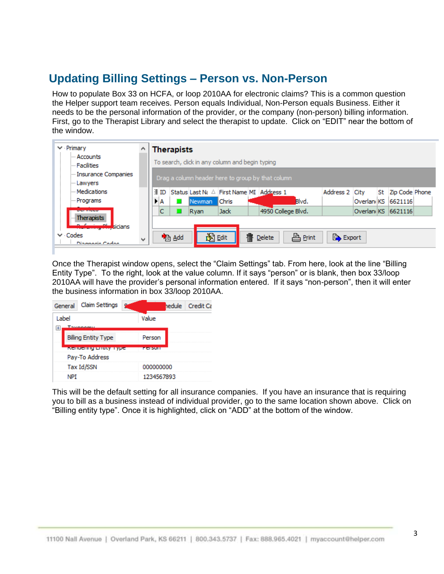## <span id="page-3-0"></span>**Updating Billing Settings – Person vs. Non-Person**

How to populate Box 33 on HCFA, or loop 2010AA for electronic claims? This is a common question the Helper support team receives. Person equals Individual, Non-Person equals Business. Either it needs to be the personal information of the provider, or the company (non-person) billing information. First, go to the Therapist Library and select the therapist to update. Click on "EDIT" near the bottom of the window.

| $\vee$ Primary                                                                                                                                                                                                                                   | ∧ |                                                   |                                                | <b>Therapists</b> |        |                                |   |                      |                |             |    |                     |  |
|--------------------------------------------------------------------------------------------------------------------------------------------------------------------------------------------------------------------------------------------------|---|---------------------------------------------------|------------------------------------------------|-------------------|--------|--------------------------------|---|----------------------|----------------|-------------|----|---------------------|--|
| - Accounts<br>- Facilities                                                                                                                                                                                                                       |   |                                                   | To search, dick in any column and begin typing |                   |        |                                |   |                      |                |             |    |                     |  |
| Imsurance Companies<br>i -- Lawyers                                                                                                                                                                                                              |   | Drag a column header here to group by that column |                                                |                   |        |                                |   |                      |                |             |    |                     |  |
| Medications                                                                                                                                                                                                                                      |   |                                                   | ⊞ ID                                           |                   |        | Status Last Na △ First Name MI |   | Address 1            | Address 2 City |             | St | Zip Code Phone      |  |
| - Programs                                                                                                                                                                                                                                       |   |                                                   | EA                                             |                   | Newman | Chris                          |   | <b>Blvd.</b>         |                | Overlanı KS |    | 6621116             |  |
| <b><i><u>PARTICULAR STATES OF STATES OF A REPORT OF A REPORT OF A REPORT OF A REPORT OF A REPORT OF A REPORT OF A REPORT OF A REPORT OF A REPORT OF A REPORT OF A REPORT OF A REPORT OF A REPORT OF A REPORT OF A REPORT OF A REPORT</u></i></b> |   |                                                   | C                                              |                   | Rvan   | <b>Jack</b>                    |   | 4950 College Blvd.   |                |             |    | Overland KS 6621116 |  |
| <b>Therapists</b><br><b>wing Physicians</b><br>$\vee$ Codes<br>Dinapopio Codos                                                                                                                                                                   | v |                                                   |                                                | <b>Add</b>        | I Edit |                                | 衞 | ≞<br>Delete<br>Print | Export         |             |    |                     |  |

Once the Therapist window opens, select the "Claim Settings" tab. From here, look at the line "Billing Entity Type". To the right, look at the value column. If it says "person" or is blank, then box 33/loop 2010AA will have the provider's personal information entered. If it says "non-person", then it will enter the business information in box 33/loop 2010AA.

|    | General | <b>Claim Settings</b>       |                |  | hedule   Credit Ca |  |  |  |
|----|---------|-----------------------------|----------------|--|--------------------|--|--|--|
|    | Label   |                             | Value          |  |                    |  |  |  |
| l+ |         | <b>Taxanomy</b>             |                |  |                    |  |  |  |
|    |         | <b>Billing Entity Type</b>  | Person         |  |                    |  |  |  |
|    |         | <b>Nendering Endty Type</b> | <b>MENSION</b> |  |                    |  |  |  |
|    |         | Pay-To Address              |                |  |                    |  |  |  |
|    |         | Tax Id/SSN                  | 000000000      |  |                    |  |  |  |
|    | NPT     |                             | 1234567893     |  |                    |  |  |  |

This will be the default setting for all insurance companies. If you have an insurance that is requiring you to bill as a business instead of individual provider, go to the same location shown above. Click on "Billing entity type". Once it is highlighted, click on "ADD" at the bottom of the window.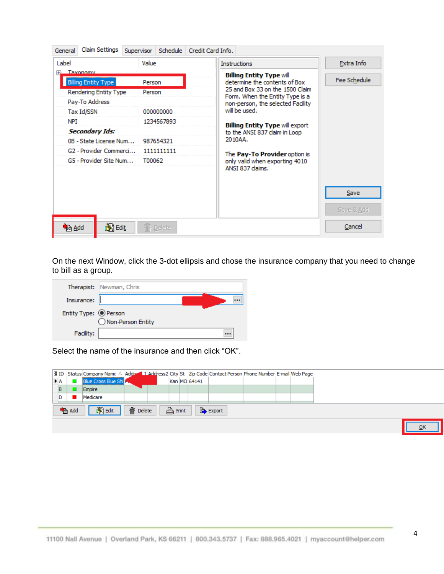| General | Claim Settings                     |        |                   | Supervisor Schedule Credit Card Info.                            |              |
|---------|------------------------------------|--------|-------------------|------------------------------------------------------------------|--------------|
| Label   |                                    | Value  |                   | <b>Instructions</b>                                              | Extra Info   |
|         | Taxonomy                           |        |                   | <b>Billing Entity Type will</b>                                  |              |
|         | Billing Entity Type                | Person |                   | determine the contents of Box<br>25 and Box 33 on the 1500 Claim | Fee Schedule |
|         | Rendering Entity Type              | Person |                   | Form. When the Entity Type is a                                  |              |
|         | Pay-To Address                     |        |                   | non-person, the selected Facility                                |              |
|         | Tax Id/SSN                         |        | 000000000         | will be used.                                                    |              |
| NPI     |                                    |        | 1234567893        | <b>Billing Entity Type will export</b>                           |              |
|         | Secondary Ids:                     |        |                   | to the ANSI 837 claim in Loop                                    |              |
|         | 0B - State License Num             |        | 987654321         | 2010AA.                                                          |              |
|         | G2 - Provider Commerci 11111111111 |        |                   | The Pay-To Provider option is                                    |              |
|         | G5 - Provider Site Num             | T00062 |                   | only valid when exporting 4010                                   |              |
|         |                                    |        |                   | ANSI 837 claims.                                                 |              |
|         |                                    |        |                   |                                                                  |              |
|         |                                    |        |                   |                                                                  | Save         |
|         |                                    |        |                   |                                                                  | Save & Add   |
| A Add   | 图Edit                              |        | <b>fff</b> Delete |                                                                  | Cancel       |

On the next Window, click the 3-dot ellipsis and chose the insurance company that you need to change to bill as a group.

|                                  | Therapist: Newman, Chris |
|----------------------------------|--------------------------|
| Insurance:                       |                          |
| Entity Type: <sup>O</sup> Person |                          |
|                                  | O Non-Person Entity      |
| Facility:                        |                          |

Select the name of the insurance and then click "OK".

|                         |                                                                       | ID Status Company Name △   Addreas 1   Address 2 City St   Zip Code Contact Person   Phone Number E-mail Web Page |  |  |  |  |              |  |  |  |  |  |  |  |    |  |
|-------------------------|-----------------------------------------------------------------------|-------------------------------------------------------------------------------------------------------------------|--|--|--|--|--------------|--|--|--|--|--|--|--|----|--|
| $\blacktriangleright$ A |                                                                       | Blue Cross Blue Shi                                                                                               |  |  |  |  | Kan MO 64141 |  |  |  |  |  |  |  |    |  |
| B                       | L                                                                     | <b>Empire</b>                                                                                                     |  |  |  |  |              |  |  |  |  |  |  |  |    |  |
|                         |                                                                       | Medicare                                                                                                          |  |  |  |  |              |  |  |  |  |  |  |  |    |  |
|                         | 图Edit<br><b>宿</b> Delete<br><b>A</b> Print<br>ha Add<br><b>Export</b> |                                                                                                                   |  |  |  |  |              |  |  |  |  |  |  |  |    |  |
|                         |                                                                       |                                                                                                                   |  |  |  |  |              |  |  |  |  |  |  |  | QK |  |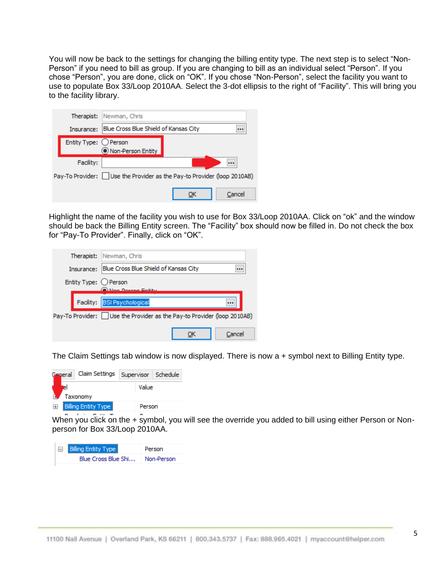You will now be back to the settings for changing the billing entity type. The next step is to select "Non-Person" if you need to bill as group. If you are changing to bill as an individual select "Person". If you chose "Person", you are done, click on "OK". If you chose "Non-Person", select the facility you want to use to populate Box 33/Loop 2010AA. Select the 3-dot ellipsis to the right of "Facility". This will bring you to the facility library.

| Therapist:            | Newman, Chris                                                          |  |  |  |  |  |  |  |  |
|-----------------------|------------------------------------------------------------------------|--|--|--|--|--|--|--|--|
| Insurance:            | Blue Cross Blue Shield of Kansas City                                  |  |  |  |  |  |  |  |  |
| Entity Type: ○ Person | O Non-Person Entity                                                    |  |  |  |  |  |  |  |  |
|                       |                                                                        |  |  |  |  |  |  |  |  |
| Facility:             |                                                                        |  |  |  |  |  |  |  |  |
|                       | Pay-To Provider: Use the Provider as the Pay-to Provider (loop 2010AB) |  |  |  |  |  |  |  |  |

Highlight the name of the facility you wish to use for Box 33/Loop 2010AA. Click on "ok" and the window should be back the Billing Entity screen. The "Facility" box should now be filled in. Do not check the box for "Pay-To Provider". Finally, click on "OK".

| Therapist: | Newman, Chris                                                          |  |
|------------|------------------------------------------------------------------------|--|
| Insurance: | Blue Cross Blue Shield of Kansas City                                  |  |
|            | Entity Type: O Person<br>A Non Doroom Entity                           |  |
| Facility:  | <b>BSI Psychological</b>                                               |  |
|            | Pay-To Provider: Use the Provider as the Pay-to Provider (loop 2010AB) |  |
|            | Cancel                                                                 |  |

The Claim Settings tab window is now displayed. There is now a + symbol next to Billing Entity type.



When you click on the + symbol, you will see the override you added to bill using either Person or Nonperson for Box 33/Loop 2010AA.

| <b>Billing Entity Type</b> | Person     |
|----------------------------|------------|
| Blue Cross Blue Shi        | Non-Person |